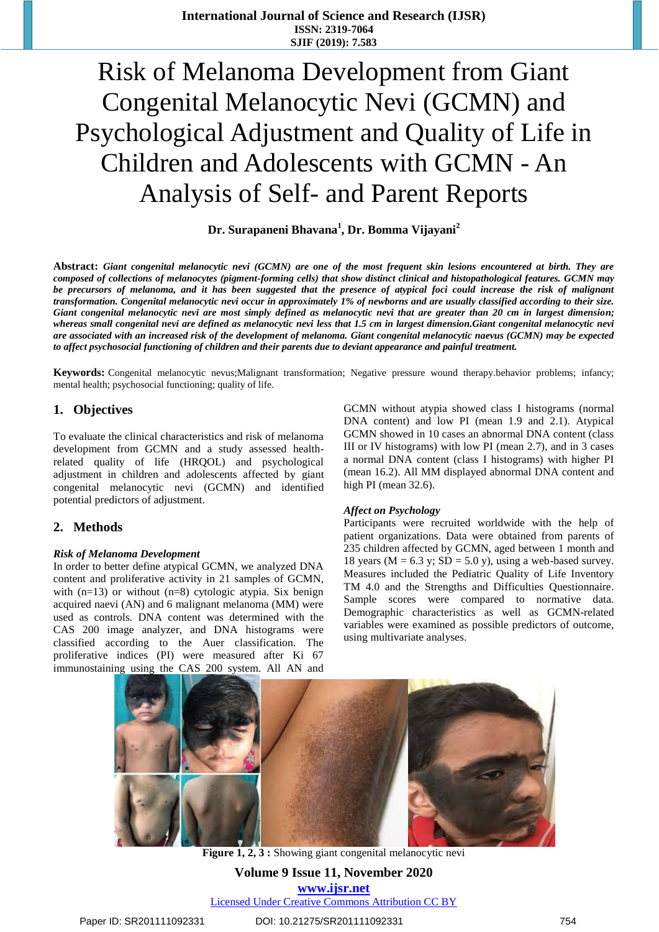# Risk of Melanoma Development from Giant Congenital Melanocytic Nevi (GCMN) and Psychological Adjustment and Quality of Life in Children and Adolescents with GCMN - An Analysis of Self- and Parent Reports

**Dr. Surapaneni Bhavana<sup>1</sup> , Dr. Bomma Vijayani<sup>2</sup>**

**Abstract:** *Giant congenital melanocytic nevi (GCMN) are one of the most frequent skin lesions encountered at birth. They are composed of collections of melanocytes (pigment-forming cells) that show distinct clinical and histopathological features. GCMN may be precursors of melanoma, and it has been suggested that the presence of atypical foci could increase the risk of malignant transformation. Congenital melanocytic nevi occur in approximately 1% of newborns and are usually classified according to their size. Giant congenital melanocytic nevi are most simply defined as melanocytic nevi that are greater than 20 cm in largest dimension; whereas small congenital nevi are defined as melanocytic nevi less that 1.5 cm in largest dimension.Giant congenital melanocytic nevi are associated with an increased risk of the development of melanoma. Giant congenital melanocytic naevus (GCMN) may be expected to affect psychosocial functioning of children and their parents due to deviant appearance and painful treatment.*

**Keywords:** Congenital melanocytic nevus;Malignant transformation; Negative pressure wound therapy.behavior problems; infancy; mental health; psychosocial functioning; quality of life.

## **1. Objectives**

To evaluate the clinical characteristics and risk of melanoma development from GCMN and a study assessed healthrelated quality of life (HRQOL) and psychological adjustment in children and adolescents affected by giant congenital melanocytic nevi (GCMN) and identified potential predictors of adjustment.

## **2. Methods**

#### *Risk of Melanoma Development*

In order to better define atypical GCMN, we analyzed DNA content and proliferative activity in 21 samples of GCMN, with  $(n=13)$  or without  $(n=8)$  cytologic atypia. Six benign acquired naevi (AN) and 6 malignant melanoma (MM) were used as controls. DNA content was determined with the CAS 200 image analyzer, and DNA histograms were classified according to the Auer classification. The proliferative indices (PI) were measured after Ki 67 immunostaining using the CAS 200 system. All AN and

GCMN without atypia showed class I histograms (normal DNA content) and low PI (mean 1.9 and 2.1). Atypical GCMN showed in 10 cases an abnormal DNA content (class III or IV histograms) with low PI (mean 2.7), and in 3 cases a normal DNA content (class I histograms) with higher PI (mean 16.2). All MM displayed abnormal DNA content and high PI (mean 32.6).

#### *Affect on Psychology*

Participants were recruited worldwide with the help of patient organizations. Data were obtained from parents of 235 children affected by GCMN, aged between 1 month and 18 years ( $M = 6.3$  y;  $SD = 5.0$  y), using a web-based survey. Measures included the Pediatric Quality of Life Inventory TM 4.0 and the Strengths and Difficulties Questionnaire. Sample scores were compared to normative data. Demographic characteristics as well as GCMN-related variables were examined as possible predictors of outcome, using multivariate analyses.



**Figure 1, 2, 3 :** Showing giant congenital melanocytic nevi

**Volume 9 Issue 11, November 2020 www.ijsr.net** Licensed Under Creative Commons Attribution CC BY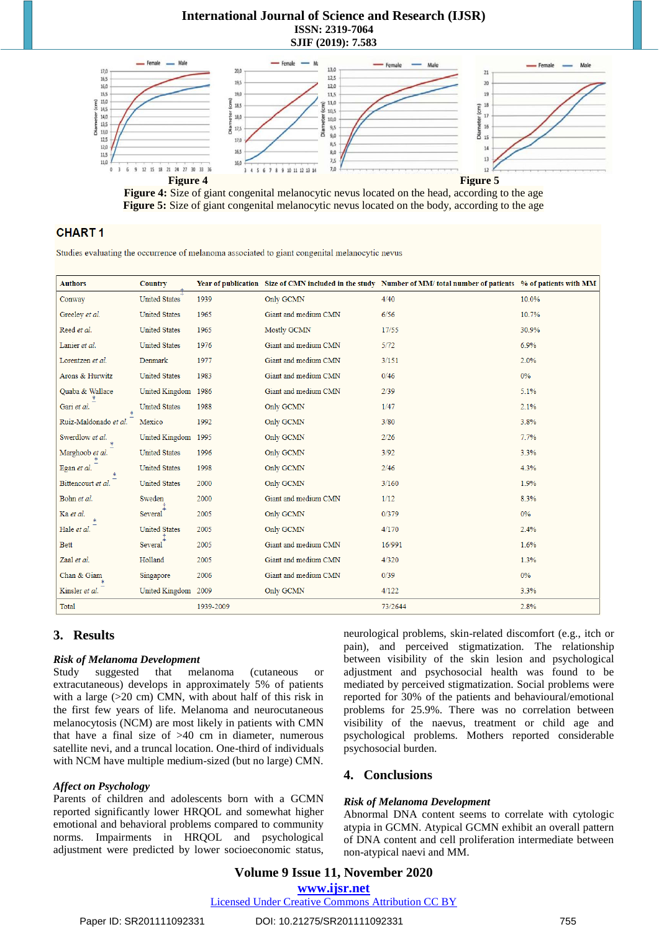## **International Journal of Science and Research (IJSR) ISSN: 2319-7064 SJIF (2019): 7.583**





## **CHART1**

Studies evaluating the occurrence of melanoma associated to giant congenital melanocytic nevus

| <b>Authors</b>        | Country              |           |                      | Year of publication Size of CMN included in the study Number of MM/ total number of patients % of patients with MM |       |
|-----------------------|----------------------|-----------|----------------------|--------------------------------------------------------------------------------------------------------------------|-------|
| Conway                | <b>United States</b> | 1939      | Only GCMN            | 4/40                                                                                                               | 10.0% |
| Greeley et al.        | <b>United States</b> | 1965      | Giant and medium CMN | 6/56                                                                                                               | 10.7% |
| Reed et al.           | <b>United States</b> | 1965      | Mostly GCMN          | 17/55                                                                                                              | 30.9% |
| Lanier et al.         | <b>United States</b> | 1976      | Giant and medium CMN | 5/72                                                                                                               | 6.9%  |
| Lorentzen et al.      | Denmark              | 1977      | Giant and medium CMN | 3/151                                                                                                              | 2.0%  |
| Arons & Hurwitz       | <b>United States</b> | 1983      | Giant and medium CMN | 0/46                                                                                                               | 0%    |
| Quaba & Wallace       | United Kingdom 1986  |           | Giant and medium CMN | 2/39                                                                                                               | 5.1%  |
| Gari et al.           | <b>United States</b> | 1988      | Only GCMN            | 1/47                                                                                                               | 2.1%  |
| Ruiz-Maldonado et al. | Mexico               | 1992      | Only GCMN            | 3/80                                                                                                               | 3.8%  |
| Swerdlow et al.       | United Kingdom 1995  |           | Only GCMN            | 2/26                                                                                                               | 7.7%  |
| Marghoob et al.       | <b>United States</b> | 1996      | Only GCMN            | 3/92                                                                                                               | 3.3%  |
| Egan et al.           | <b>United States</b> | 1998      | Only GCMN            | 2/46                                                                                                               | 4.3%  |
| Bittencourt et al.    | <b>United States</b> | 2000      | Only GCMN            | 3/160                                                                                                              | 1.9%  |
| Bohn et al.           | Sweden               | 2000      | Giant and medium CMN | 1/12                                                                                                               | 8.3%  |
| Ka et al.             | Several              | 2005      | Only GCMN            | 0/379                                                                                                              | 0%    |
| Hale et al.           | <b>United States</b> | 2005      | Only GCMN            | 4/170                                                                                                              | 2.4%  |
| <b>Bett</b>           | Several              | 2005      | Giant and medium CMN | 16/991                                                                                                             | 1.6%  |
| Zaal et al.           | Holland              | 2005      | Giant and medium CMN | 4/320                                                                                                              | 1.3%  |
| Chan & Giam           | Singapore            | 2006      | Giant and medium CMN | 0/39                                                                                                               | 0%    |
| Kinsler et al.        | United Kingdom       | 2009      | Only GCMN            | 4/122                                                                                                              | 3.3%  |
| <b>Total</b>          |                      | 1939-2009 |                      | 73/2644                                                                                                            | 2.8%  |

# **3. Results**

#### *Risk of Melanoma Development*

Study suggested that melanoma (cutaneous or extracutaneous) develops in approximately 5% of patients with a large ( $>20$  cm) CMN, with about half of this risk in the first few years of life. Melanoma and neurocutaneous melanocytosis (NCM) are most likely in patients with CMN that have a final size of  $>40$  cm in diameter, numerous satellite nevi, and a truncal location. One-third of individuals with NCM have multiple medium-sized (but no large) CMN.

#### *Affect on Psychology*

Parents of children and adolescents born with a GCMN reported significantly lower HRQOL and somewhat higher emotional and behavioral problems compared to community norms. Impairments in HRQOL and psychological adjustment were predicted by lower socioeconomic status,

neurological problems, skin-related discomfort (e.g., itch or pain), and perceived stigmatization. The relationship between visibility of the skin lesion and psychological adjustment and psychosocial health was found to be mediated by perceived stigmatization. Social problems were reported for 30% of the patients and behavioural/emotional problems for 25.9%. There was no correlation between visibility of the naevus, treatment or child age and psychological problems. Mothers reported considerable psychosocial burden.

# **4. Conclusions**

#### *Risk of Melanoma Development*

Abnormal DNA content seems to correlate with cytologic atypia in GCMN. Atypical GCMN exhibit an overall pattern of DNA content and cell proliferation intermediate between non-atypical naevi and MM.

# **Volume 9 Issue 11, November 2020 www.ijsr.net**

Licensed Under Creative Commons Attribution CC BY